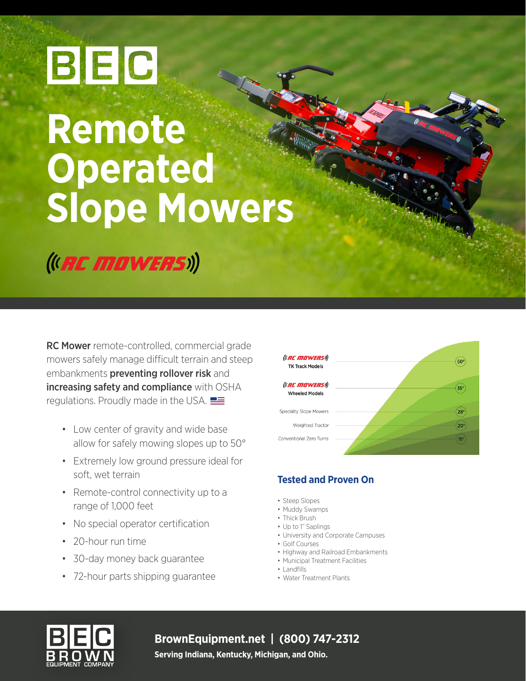# BEC

## **Remote Operated Slope Mowers**

(I. RC MOWERS))

RC Mower remote-controlled, commercial grade mowers safely manage difficult terrain and steep embankments preventing rollover risk and increasing safety and compliance with OSHA regulations. Proudly made in the USA.

- Low center of gravity and wide base allow for safely mowing slopes up to 50°
- Extremely low ground pressure ideal for soft, wet terrain
- Remote-control connectivity up to a range of 1,000 feet
- No special operator certification
- 20-hour run time
- 30-day money back guarantee
- 72-hour parts shipping guarantee



#### **Tested and Proven On**

- Steep Slopes
- Muddy Swamps
- Thick Brush
- Up to 1" Saplings • University and Corporate Campuses
- Golf Courses
- Highway and Railroad Embankments
- Municipal Treatment Facilities
- Landfills
- Water Treatment Plants



**BrownEquipment.net | (800) 747-2312**

**Serving Indiana, Kentucky, Michigan, and Ohio.**